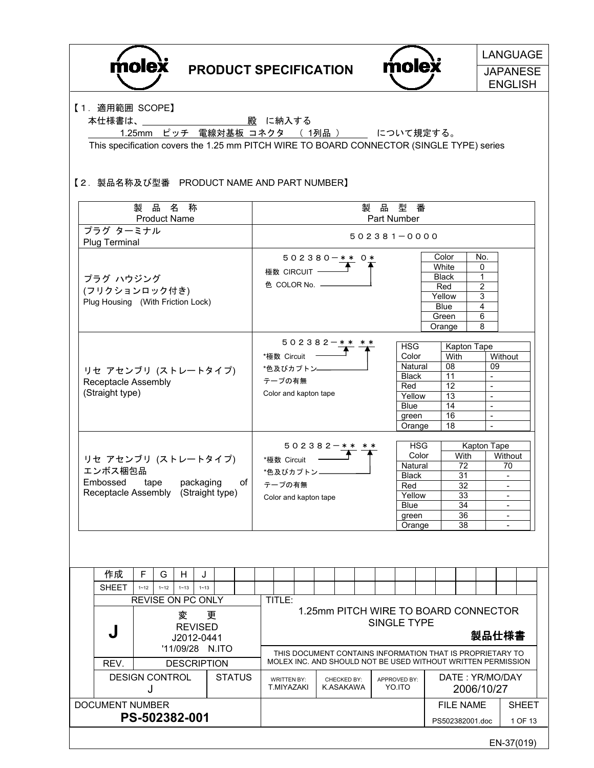| <b>molex</b>                                                                                                                                                        |                                                                                                     |          |                             |          |  | <b>PRODUCT SPECIFICATION</b>                                                                                                                                                       |                                  |                       |                                                              |                                         |       |                                                |                        | molex                                                                                      |                     |                                                                            |                                                                                                                                                                                         |                                                                            |            | <b>LANGUAGE</b><br><b>JAPANESE</b><br><b>ENGLISH</b> |
|---------------------------------------------------------------------------------------------------------------------------------------------------------------------|-----------------------------------------------------------------------------------------------------|----------|-----------------------------|----------|--|------------------------------------------------------------------------------------------------------------------------------------------------------------------------------------|----------------------------------|-----------------------|--------------------------------------------------------------|-----------------------------------------|-------|------------------------------------------------|------------------------|--------------------------------------------------------------------------------------------|---------------------|----------------------------------------------------------------------------|-----------------------------------------------------------------------------------------------------------------------------------------------------------------------------------------|----------------------------------------------------------------------------|------------|------------------------------------------------------|
| 【1. 適用範囲 SCOPE】<br>本仕様書は、<br>This specification covers the 1.25 mm PITCH WIRE TO BOARD CONNECTOR (SINGLE TYPE) series<br>【2. 製品名称及び型番 PRODUCT NAME AND PART NUMBER】 |                                                                                                     |          |                             |          |  | 1.25mm ピッチ 電線対基板 コネクタ (1列品) __ について規定する。                                                                                                                                           |                                  | 殿 に納入する               |                                                              |                                         |       |                                                |                        |                                                                                            |                     |                                                                            |                                                                                                                                                                                         |                                                                            |            |                                                      |
|                                                                                                                                                                     |                                                                                                     |          | 製品名称<br><b>Product Name</b> |          |  |                                                                                                                                                                                    |                                  |                       |                                                              |                                         |       |                                                | 製品                     | 型番<br>Part Number                                                                          |                     |                                                                            |                                                                                                                                                                                         |                                                                            |            |                                                      |
| プラグ ターミナル                                                                                                                                                           |                                                                                                     |          |                             |          |  |                                                                                                                                                                                    |                                  | $502381 - 0000$       |                                                              |                                         |       |                                                |                        |                                                                                            |                     |                                                                            |                                                                                                                                                                                         |                                                                            |            |                                                      |
| Plug Terminal<br>プラグ ハウジング<br>(フリクションロック付き)<br>Plug Housing (With Friction Lock)                                                                                    |                                                                                                     |          |                             |          |  |                                                                                                                                                                                    |                                  |                       | 極数 CIRCUIT -                                                 | $502380 - * * 0*$<br>色 COLOR No. ——     |       |                                                |                        |                                                                                            |                     | Color<br>White<br><b>Black</b><br>Red<br>Yellow<br>Blue<br>Green<br>Orange |                                                                                                                                                                                         | No.<br>0<br>$\mathbf 1$<br>$\overline{2}$<br>$\overline{3}$<br>4<br>6<br>8 |            |                                                      |
| リセ アセンブリ (ストレートタイプ)<br>Receptacle Assembly<br>(Straight type)                                                                                                       |                                                                                                     |          |                             |          |  | $502382-** **$<br><b>HSG</b><br>*極数 Circuit<br>Color<br>Natural<br>*色及びカプトン—<br><b>Black</b><br>テープの有無<br>Red<br>Color and kapton tape<br>Yellow<br><b>Blue</b><br>green<br>Orange |                                  |                       |                                                              |                                         |       | With<br>08<br>11<br>12<br>13<br>14<br>16<br>18 | <b>Kapton Tape</b>     | 09<br>$\blacksquare$<br>$\blacksquare$<br>$\mathbf{L}$<br>$\blacksquare$<br>$\blacksquare$ | Without             |                                                                            |                                                                                                                                                                                         |                                                                            |            |                                                      |
| Embossed                                                                                                                                                            | リセ アセンブリ (ストレートタイプ)<br>エンボス梱包品<br>packaging<br>of<br>tape<br>Receptacle Assembly<br>(Straight type) |          |                             |          |  |                                                                                                                                                                                    |                                  | *極数 Circuit<br>テープの有無 | *色及びカプトン-                                                    | $502382 - * *$<br>Color and kapton tape |       |                                                |                        | Natural<br><b>Black</b><br>Red<br>Yellow<br><b>Blue</b><br>green<br>Orange                 | <b>HSG</b><br>Color |                                                                            | Kapton Tape<br>With<br>Without<br>$\overline{72}$<br>70<br>31<br>$\overline{\phantom{a}}$<br>32<br>$\blacksquare$<br>33<br>34<br>$\overline{\phantom{a}}$<br>36<br>$\blacksquare$<br>38 |                                                                            |            |                                                      |
| 作成                                                                                                                                                                  | F                                                                                                   | G        | H.                          | J        |  |                                                                                                                                                                                    |                                  |                       |                                                              |                                         |       |                                                |                        |                                                                                            |                     |                                                                            |                                                                                                                                                                                         |                                                                            |            |                                                      |
| <b>SHEET</b>                                                                                                                                                        | $1 - 12$                                                                                            | $1 - 12$ | $1 - 13$                    | $1 - 13$ |  |                                                                                                                                                                                    |                                  |                       |                                                              |                                         |       |                                                |                        |                                                                                            |                     |                                                                            |                                                                                                                                                                                         |                                                                            |            |                                                      |
| REVISE ON PC ONLY<br>変<br>更<br><b>REVISED</b><br>J<br>J2012-0441<br>'11/09/28 N.ITO                                                                                 |                                                                                                     |          |                             |          |  | TITLE:<br>1.25mm PITCH WIRE TO BOARD CONNECTOR<br>SINGLE TYPE<br>THIS DOCUMENT CONTAINS INFORMATION THAT IS PROPRIETARY TO                                                         |                                  |                       |                                                              |                                         | 製品仕様書 |                                                |                        |                                                                                            |                     |                                                                            |                                                                                                                                                                                         |                                                                            |            |                                                      |
| REV.<br><b>DESCRIPTION</b><br><b>DESIGN CONTROL</b><br><b>STATUS</b>                                                                                                |                                                                                                     |          |                             |          |  |                                                                                                                                                                                    | <b>WRITTEN BY:</b><br>T.MIYAZAKI |                       | MOLEX INC. AND SHOULD NOT BE USED WITHOUT WRITTEN PERMISSION | CHECKED BY:<br>K.ASAKAWA                |       |                                                | APPROVED BY:<br>YO.ITO |                                                                                            |                     |                                                                            | DATE: YR/MO/DAY                                                                                                                                                                         |                                                                            |            |                                                      |
| <b>DOCUMENT NUMBER</b>                                                                                                                                              | J                                                                                                   |          | PS-502382-001               |          |  |                                                                                                                                                                                    |                                  |                       |                                                              |                                         |       |                                                |                        |                                                                                            |                     |                                                                            | <b>FILE NAME</b><br>PS502382001.doc                                                                                                                                                     | 2006/10/27                                                                 |            | <b>SHEET</b><br>1 OF 13                              |
|                                                                                                                                                                     |                                                                                                     |          |                             |          |  |                                                                                                                                                                                    |                                  |                       |                                                              |                                         |       |                                                |                        |                                                                                            |                     |                                                                            |                                                                                                                                                                                         |                                                                            | EN-37(019) |                                                      |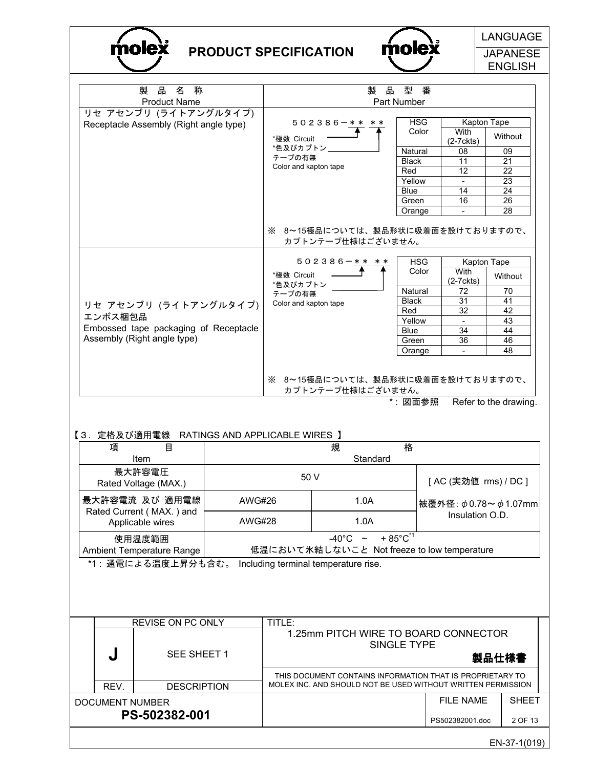



| <b>Product Name</b><br>Part Number<br>リセ アセンブリ (ライトアングルタイプ)<br><b>HSG</b><br>Kapton Tape<br>502386-** **<br>Receptacle Assembly (Right angle type)<br>Color<br>With<br>Without<br>*極数 Circuit<br>$(2-7$ ckts)<br>*色及びカプトン」<br>09<br>Natural<br>08<br>テープの有無<br><b>Black</b><br>11<br>21<br>Color and kapton tape<br>Red<br>12<br>22<br>Yellow<br>23<br>Blue<br>14<br>24<br>16<br>26<br>Green<br>28<br>Orange<br>$\blacksquare$<br>※ 8~15極品については、製品形状に吸着面を設けておりますので、<br>カプトンテープ仕様はございません。<br><b>HSG</b><br>502386-**<br>Kapton Tape<br>Color<br>With<br>*極数 Circuit<br>Without<br>$(2-7$ ckts)<br>*色及びカプトン<br>Natural<br>70<br>72<br>テープの有無<br><b>Black</b><br>31<br>41<br>Color and kapton tape<br>リセ アセンブリ (ライトアングルタイプ)<br>Red<br>32<br>42<br>エンボス梱包品<br>Yellow<br>43<br>Embossed tape packaging of Receptacle<br><b>Blue</b><br>34<br>44<br>Assembly (Right angle type)<br>36<br>46<br>Green<br>48<br>Orange<br>$\blacksquare$<br>※ 8~15極品については、製品形状に吸着面を設けておりますので、<br>カプトンテープ仕様はございません。<br>*: 図面参照<br>Refer to the drawing.<br>【3.定格及び適用電線 RATINGS AND APPLICABLE WIRES 】<br>格<br>規<br>項<br>目<br>Standard<br>Item<br>最大許容電圧<br>50 V<br>[AC (実効値 rms) / DC ]<br>Rated Voltage (MAX.)<br>最大許容電流 及び 適用電線<br><b>AWG#26</b><br>1.0A<br>被覆外径: φ0.78~ φ1.07mm<br>Rated Current (MAX.) and<br>Insulation O.D.<br>1.0A<br><b>AWG#28</b><br>Applicable wires<br>$+85^{\circ}$ C <sup>*1</sup><br>$-40^{\circ}$ C ~<br>使用温度範囲<br>低温において氷結しないこと Not freeze to low temperature<br>Ambient Temperature Range<br>*1: 通電による温度上昇分も含む。<br>Including terminal temperature rise.<br>REVISE ON PC ONLY<br>TITLE:<br>1.25mm PITCH WIRE TO BOARD CONNECTOR<br>SINGLE TYPE<br>SEE SHEET 1<br>製品仕様書 |  |  |  |  |                 |         |  |  |  |
|-------------------------------------------------------------------------------------------------------------------------------------------------------------------------------------------------------------------------------------------------------------------------------------------------------------------------------------------------------------------------------------------------------------------------------------------------------------------------------------------------------------------------------------------------------------------------------------------------------------------------------------------------------------------------------------------------------------------------------------------------------------------------------------------------------------------------------------------------------------------------------------------------------------------------------------------------------------------------------------------------------------------------------------------------------------------------------------------------------------------------------------------------------------------------------------------------------------------------------------------------------------------------------------------------------------------------------------------------------------------------------------------------------------------------------------------------------------------------------------------------------------------------------------------------------------------------------------------------------------------------------------------------------------------------------|--|--|--|--|-----------------|---------|--|--|--|
|                                                                                                                                                                                                                                                                                                                                                                                                                                                                                                                                                                                                                                                                                                                                                                                                                                                                                                                                                                                                                                                                                                                                                                                                                                                                                                                                                                                                                                                                                                                                                                                                                                                                               |  |  |  |  |                 |         |  |  |  |
|                                                                                                                                                                                                                                                                                                                                                                                                                                                                                                                                                                                                                                                                                                                                                                                                                                                                                                                                                                                                                                                                                                                                                                                                                                                                                                                                                                                                                                                                                                                                                                                                                                                                               |  |  |  |  |                 |         |  |  |  |
|                                                                                                                                                                                                                                                                                                                                                                                                                                                                                                                                                                                                                                                                                                                                                                                                                                                                                                                                                                                                                                                                                                                                                                                                                                                                                                                                                                                                                                                                                                                                                                                                                                                                               |  |  |  |  |                 |         |  |  |  |
|                                                                                                                                                                                                                                                                                                                                                                                                                                                                                                                                                                                                                                                                                                                                                                                                                                                                                                                                                                                                                                                                                                                                                                                                                                                                                                                                                                                                                                                                                                                                                                                                                                                                               |  |  |  |  |                 |         |  |  |  |
|                                                                                                                                                                                                                                                                                                                                                                                                                                                                                                                                                                                                                                                                                                                                                                                                                                                                                                                                                                                                                                                                                                                                                                                                                                                                                                                                                                                                                                                                                                                                                                                                                                                                               |  |  |  |  |                 |         |  |  |  |
|                                                                                                                                                                                                                                                                                                                                                                                                                                                                                                                                                                                                                                                                                                                                                                                                                                                                                                                                                                                                                                                                                                                                                                                                                                                                                                                                                                                                                                                                                                                                                                                                                                                                               |  |  |  |  |                 |         |  |  |  |
|                                                                                                                                                                                                                                                                                                                                                                                                                                                                                                                                                                                                                                                                                                                                                                                                                                                                                                                                                                                                                                                                                                                                                                                                                                                                                                                                                                                                                                                                                                                                                                                                                                                                               |  |  |  |  |                 |         |  |  |  |
|                                                                                                                                                                                                                                                                                                                                                                                                                                                                                                                                                                                                                                                                                                                                                                                                                                                                                                                                                                                                                                                                                                                                                                                                                                                                                                                                                                                                                                                                                                                                                                                                                                                                               |  |  |  |  |                 |         |  |  |  |
|                                                                                                                                                                                                                                                                                                                                                                                                                                                                                                                                                                                                                                                                                                                                                                                                                                                                                                                                                                                                                                                                                                                                                                                                                                                                                                                                                                                                                                                                                                                                                                                                                                                                               |  |  |  |  |                 |         |  |  |  |
|                                                                                                                                                                                                                                                                                                                                                                                                                                                                                                                                                                                                                                                                                                                                                                                                                                                                                                                                                                                                                                                                                                                                                                                                                                                                                                                                                                                                                                                                                                                                                                                                                                                                               |  |  |  |  |                 |         |  |  |  |
|                                                                                                                                                                                                                                                                                                                                                                                                                                                                                                                                                                                                                                                                                                                                                                                                                                                                                                                                                                                                                                                                                                                                                                                                                                                                                                                                                                                                                                                                                                                                                                                                                                                                               |  |  |  |  |                 |         |  |  |  |
|                                                                                                                                                                                                                                                                                                                                                                                                                                                                                                                                                                                                                                                                                                                                                                                                                                                                                                                                                                                                                                                                                                                                                                                                                                                                                                                                                                                                                                                                                                                                                                                                                                                                               |  |  |  |  |                 |         |  |  |  |
|                                                                                                                                                                                                                                                                                                                                                                                                                                                                                                                                                                                                                                                                                                                                                                                                                                                                                                                                                                                                                                                                                                                                                                                                                                                                                                                                                                                                                                                                                                                                                                                                                                                                               |  |  |  |  |                 |         |  |  |  |
|                                                                                                                                                                                                                                                                                                                                                                                                                                                                                                                                                                                                                                                                                                                                                                                                                                                                                                                                                                                                                                                                                                                                                                                                                                                                                                                                                                                                                                                                                                                                                                                                                                                                               |  |  |  |  |                 |         |  |  |  |
|                                                                                                                                                                                                                                                                                                                                                                                                                                                                                                                                                                                                                                                                                                                                                                                                                                                                                                                                                                                                                                                                                                                                                                                                                                                                                                                                                                                                                                                                                                                                                                                                                                                                               |  |  |  |  |                 |         |  |  |  |
|                                                                                                                                                                                                                                                                                                                                                                                                                                                                                                                                                                                                                                                                                                                                                                                                                                                                                                                                                                                                                                                                                                                                                                                                                                                                                                                                                                                                                                                                                                                                                                                                                                                                               |  |  |  |  |                 |         |  |  |  |
|                                                                                                                                                                                                                                                                                                                                                                                                                                                                                                                                                                                                                                                                                                                                                                                                                                                                                                                                                                                                                                                                                                                                                                                                                                                                                                                                                                                                                                                                                                                                                                                                                                                                               |  |  |  |  |                 |         |  |  |  |
|                                                                                                                                                                                                                                                                                                                                                                                                                                                                                                                                                                                                                                                                                                                                                                                                                                                                                                                                                                                                                                                                                                                                                                                                                                                                                                                                                                                                                                                                                                                                                                                                                                                                               |  |  |  |  |                 |         |  |  |  |
|                                                                                                                                                                                                                                                                                                                                                                                                                                                                                                                                                                                                                                                                                                                                                                                                                                                                                                                                                                                                                                                                                                                                                                                                                                                                                                                                                                                                                                                                                                                                                                                                                                                                               |  |  |  |  |                 |         |  |  |  |
|                                                                                                                                                                                                                                                                                                                                                                                                                                                                                                                                                                                                                                                                                                                                                                                                                                                                                                                                                                                                                                                                                                                                                                                                                                                                                                                                                                                                                                                                                                                                                                                                                                                                               |  |  |  |  |                 |         |  |  |  |
|                                                                                                                                                                                                                                                                                                                                                                                                                                                                                                                                                                                                                                                                                                                                                                                                                                                                                                                                                                                                                                                                                                                                                                                                                                                                                                                                                                                                                                                                                                                                                                                                                                                                               |  |  |  |  |                 |         |  |  |  |
|                                                                                                                                                                                                                                                                                                                                                                                                                                                                                                                                                                                                                                                                                                                                                                                                                                                                                                                                                                                                                                                                                                                                                                                                                                                                                                                                                                                                                                                                                                                                                                                                                                                                               |  |  |  |  |                 |         |  |  |  |
|                                                                                                                                                                                                                                                                                                                                                                                                                                                                                                                                                                                                                                                                                                                                                                                                                                                                                                                                                                                                                                                                                                                                                                                                                                                                                                                                                                                                                                                                                                                                                                                                                                                                               |  |  |  |  |                 |         |  |  |  |
|                                                                                                                                                                                                                                                                                                                                                                                                                                                                                                                                                                                                                                                                                                                                                                                                                                                                                                                                                                                                                                                                                                                                                                                                                                                                                                                                                                                                                                                                                                                                                                                                                                                                               |  |  |  |  |                 |         |  |  |  |
|                                                                                                                                                                                                                                                                                                                                                                                                                                                                                                                                                                                                                                                                                                                                                                                                                                                                                                                                                                                                                                                                                                                                                                                                                                                                                                                                                                                                                                                                                                                                                                                                                                                                               |  |  |  |  |                 |         |  |  |  |
|                                                                                                                                                                                                                                                                                                                                                                                                                                                                                                                                                                                                                                                                                                                                                                                                                                                                                                                                                                                                                                                                                                                                                                                                                                                                                                                                                                                                                                                                                                                                                                                                                                                                               |  |  |  |  |                 |         |  |  |  |
|                                                                                                                                                                                                                                                                                                                                                                                                                                                                                                                                                                                                                                                                                                                                                                                                                                                                                                                                                                                                                                                                                                                                                                                                                                                                                                                                                                                                                                                                                                                                                                                                                                                                               |  |  |  |  |                 |         |  |  |  |
|                                                                                                                                                                                                                                                                                                                                                                                                                                                                                                                                                                                                                                                                                                                                                                                                                                                                                                                                                                                                                                                                                                                                                                                                                                                                                                                                                                                                                                                                                                                                                                                                                                                                               |  |  |  |  |                 |         |  |  |  |
|                                                                                                                                                                                                                                                                                                                                                                                                                                                                                                                                                                                                                                                                                                                                                                                                                                                                                                                                                                                                                                                                                                                                                                                                                                                                                                                                                                                                                                                                                                                                                                                                                                                                               |  |  |  |  |                 |         |  |  |  |
|                                                                                                                                                                                                                                                                                                                                                                                                                                                                                                                                                                                                                                                                                                                                                                                                                                                                                                                                                                                                                                                                                                                                                                                                                                                                                                                                                                                                                                                                                                                                                                                                                                                                               |  |  |  |  |                 |         |  |  |  |
|                                                                                                                                                                                                                                                                                                                                                                                                                                                                                                                                                                                                                                                                                                                                                                                                                                                                                                                                                                                                                                                                                                                                                                                                                                                                                                                                                                                                                                                                                                                                                                                                                                                                               |  |  |  |  |                 |         |  |  |  |
|                                                                                                                                                                                                                                                                                                                                                                                                                                                                                                                                                                                                                                                                                                                                                                                                                                                                                                                                                                                                                                                                                                                                                                                                                                                                                                                                                                                                                                                                                                                                                                                                                                                                               |  |  |  |  |                 |         |  |  |  |
|                                                                                                                                                                                                                                                                                                                                                                                                                                                                                                                                                                                                                                                                                                                                                                                                                                                                                                                                                                                                                                                                                                                                                                                                                                                                                                                                                                                                                                                                                                                                                                                                                                                                               |  |  |  |  |                 |         |  |  |  |
|                                                                                                                                                                                                                                                                                                                                                                                                                                                                                                                                                                                                                                                                                                                                                                                                                                                                                                                                                                                                                                                                                                                                                                                                                                                                                                                                                                                                                                                                                                                                                                                                                                                                               |  |  |  |  |                 |         |  |  |  |
|                                                                                                                                                                                                                                                                                                                                                                                                                                                                                                                                                                                                                                                                                                                                                                                                                                                                                                                                                                                                                                                                                                                                                                                                                                                                                                                                                                                                                                                                                                                                                                                                                                                                               |  |  |  |  |                 |         |  |  |  |
|                                                                                                                                                                                                                                                                                                                                                                                                                                                                                                                                                                                                                                                                                                                                                                                                                                                                                                                                                                                                                                                                                                                                                                                                                                                                                                                                                                                                                                                                                                                                                                                                                                                                               |  |  |  |  |                 |         |  |  |  |
| THIS DOCUMENT CONTAINS INFORMATION THAT IS PROPRIETARY TO<br>MOLEX INC. AND SHOULD NOT BE USED WITHOUT WRITTEN PERMISSION<br>REV.<br><b>DESCRIPTION</b>                                                                                                                                                                                                                                                                                                                                                                                                                                                                                                                                                                                                                                                                                                                                                                                                                                                                                                                                                                                                                                                                                                                                                                                                                                                                                                                                                                                                                                                                                                                       |  |  |  |  |                 |         |  |  |  |
| <b>FILE NAME</b><br><b>SHEET</b><br><b>DOCUMENT NUMBER</b>                                                                                                                                                                                                                                                                                                                                                                                                                                                                                                                                                                                                                                                                                                                                                                                                                                                                                                                                                                                                                                                                                                                                                                                                                                                                                                                                                                                                                                                                                                                                                                                                                    |  |  |  |  |                 |         |  |  |  |
| PS-502382-001                                                                                                                                                                                                                                                                                                                                                                                                                                                                                                                                                                                                                                                                                                                                                                                                                                                                                                                                                                                                                                                                                                                                                                                                                                                                                                                                                                                                                                                                                                                                                                                                                                                                 |  |  |  |  | PS502382001.doc | 2 OF 13 |  |  |  |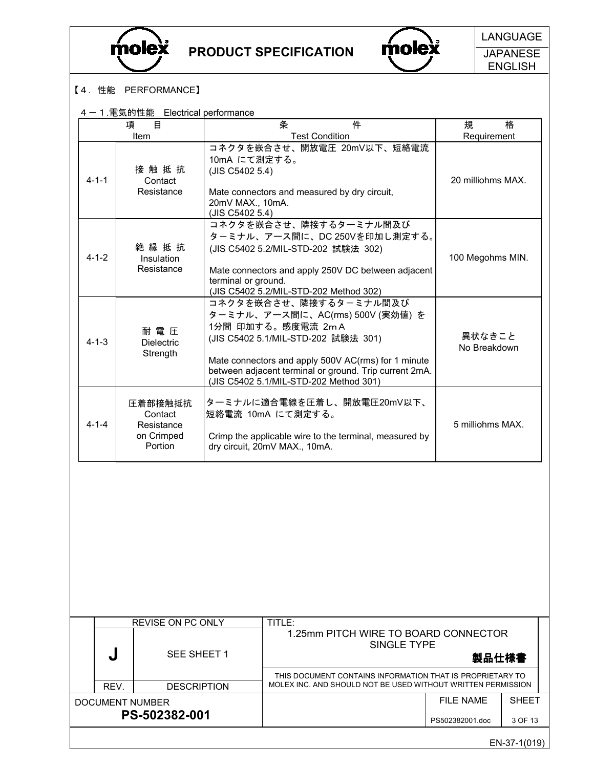



**Molex** LANGUAGE **JAPANESE** ENGLISH

### 【4.性能 PERFORMANCE】

### 4-1.電気的性能 Electrical performance

|             | 目<br>項                                                    | 条<br>件                                                                                                                                                                                                                                                                            | 格<br>規                 |
|-------------|-----------------------------------------------------------|-----------------------------------------------------------------------------------------------------------------------------------------------------------------------------------------------------------------------------------------------------------------------------------|------------------------|
|             | Item                                                      | <b>Test Condition</b>                                                                                                                                                                                                                                                             | Requirement            |
| $4 - 1 - 1$ | 接触抵抗<br>Contact<br>Resistance                             | コネクタを嵌合させ、開放電圧 20mV以下、短絡電流<br>10mA にて測定する。<br>(JIS C5402 5.4)<br>Mate connectors and measured by dry circuit,<br>20mV MAX., 10mA.<br>(JIS C5402 5.4)                                                                                                                              | 20 milliohms MAX.      |
| $4 - 1 - 2$ | 絶縁抵抗<br>Insulation<br>Resistance                          | コネクタを嵌合させ、隣接するターミナル間及び<br>ターミナル、アース間に、DC 250Vを印加し測定する。<br>(JIS C5402 5.2/MIL-STD-202 試験法 302)<br>Mate connectors and apply 250V DC between adjacent<br>terminal or ground.<br>(JIS C5402 5.2/MIL-STD-202 Method 302)                                                              | 100 Megohms MIN.       |
| $4 - 1 - 3$ | 耐 電 圧<br><b>Dielectric</b><br>Strength                    | コネクタを嵌合させ、隣接するターミナル間及び<br>ターミナル、アース間に、AC(rms) 500V (実効値) を<br>1分間 印加する。感度電流 2mA<br>(JIS C5402 5.1/MIL-STD-202 試験法 301)<br>Mate connectors and apply 500V AC(rms) for 1 minute<br>between adjacent terminal or ground. Trip current 2mA.<br>(JIS C5402 5.1/MIL-STD-202 Method 301) | 異状なきこと<br>No Breakdown |
| $4 - 1 - 4$ | 圧着部接触抵抗<br>Contact<br>Resistance<br>on Crimped<br>Portion | ターミナルに適合電線を圧着し、開放電圧20mV以下、<br>短絡電流 10mA にて測定する。<br>Crimp the applicable wire to the terminal, measured by<br>dry circuit, 20mV MAX., 10mA.                                                                                                                                        | 5 milliohms MAX.       |
|             |                                                           |                                                                                                                                                                                                                                                                                   |                        |

|                 | <b>REVISE ON PC ONLY</b> | TITLE:                                                                                                                    |                 |              |
|-----------------|--------------------------|---------------------------------------------------------------------------------------------------------------------------|-----------------|--------------|
| J               | SEE SHEET 1              | 1.25mm PITCH WIRE TO BOARD CONNECTOR<br>SINGLE TYPE                                                                       | 製品仕様書           |              |
|                 |                          | THIS DOCUMENT CONTAINS INFORMATION THAT IS PROPRIETARY TO<br>MOLEX INC. AND SHOULD NOT BE USED WITHOUT WRITTEN PERMISSION |                 |              |
| REV.            | <b>DESCRIPTION</b>       |                                                                                                                           |                 |              |
| DOCUMENT NUMBER |                          |                                                                                                                           | FII F NAMF      | <b>SHEFT</b> |
|                 | PS-502382-001            |                                                                                                                           | PS502382001.doc | 3 OF 13      |
|                 |                          |                                                                                                                           |                 | EN-37-1(019) |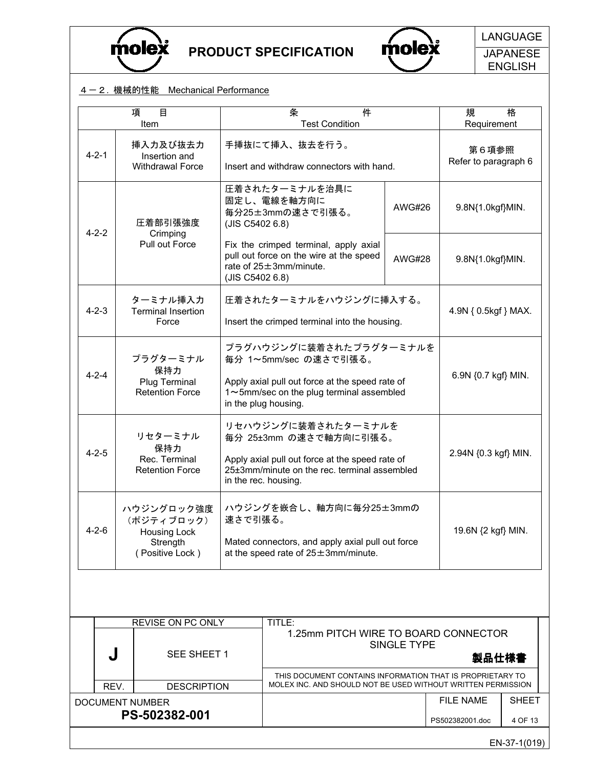



Olex LANGUAGE **JAPANESE** ENGLISH

#### 4-2. 機械的性能 Mechanical Performance

|             | 目<br>項<br>Item                                                          |                 | 件<br>条<br><b>Test Condition</b>                                                                                                                                          |                      | 規<br>格<br>Requirement         |  |  |
|-------------|-------------------------------------------------------------------------|-----------------|--------------------------------------------------------------------------------------------------------------------------------------------------------------------------|----------------------|-------------------------------|--|--|
| $4 - 2 - 1$ | 挿入力及び抜去力<br>Insertion and<br><b>Withdrawal Force</b>                    |                 | 手挿抜にて挿入、抜去を行う。<br>Insert and withdraw connectors with hand.                                                                                                              |                      | 第6項参照<br>Refer to paragraph 6 |  |  |
|             | 圧着部引張強度<br>Crimping                                                     | (JIS C5402 6.8) | 圧着されたターミナルを治具に<br>固定し、電線を軸方向に<br>毎分25±3mmの速さで引張る。                                                                                                                        | <b>AWG#26</b>        | 9.8N{1.0kgf}MIN.              |  |  |
| $4 - 2 - 2$ | Pull out Force                                                          |                 | Fix the crimped terminal, apply axial<br>pull out force on the wire at the speed<br>rate of $25 \pm 3$ mm/minute.<br>(JIS C5402 6.8)                                     | AWG#28               |                               |  |  |
| $4 - 2 - 3$ | ターミナル挿入力<br><b>Terminal Insertion</b><br>Force                          |                 | 圧着されたターミナルをハウジングに挿入する。<br>Insert the crimped terminal into the housing.                                                                                                  | 4.9N { 0.5kgf } MAX. |                               |  |  |
| $4 - 2 - 4$ | プラグターミナル<br>保持力<br>Plug Terminal<br><b>Retention Force</b>              |                 | プラグハウジングに装着されたプラグターミナルを<br>毎分 1~5mm/sec の速さで引張る。<br>Apply axial pull out force at the speed rate of<br>1~5mm/sec on the plug terminal assembled<br>in the plug housing.  | 6.9N {0.7 kgf} MIN.  |                               |  |  |
| $4 - 2 - 5$ | リセターミナル<br>保持力<br>Rec. Terminal<br><b>Retention Force</b>               |                 | リセハウジングに装着されたターミナルを<br>毎分 25±3mm の速さで軸方向に引張る。<br>Apply axial pull out force at the speed rate of<br>25±3mm/minute on the rec. terminal assembled<br>in the rec. housing. | 2.94N {0.3 kgf} MIN. |                               |  |  |
| $4 - 2 - 6$ | ハウジングロック強度<br>(ポジティブロック)<br>Housing Lock<br>Strength<br>(Positive Lock) |                 | ハウジングを嵌合し、軸方向に毎分25±3mmの<br>速さで引張る。<br>Mated connectors, and apply axial pull out force<br>at the speed rate of $25 \pm 3$ mm/minute.                                     | 19.6N {2 kgf} MIN.   |                               |  |  |
|             |                                                                         |                 |                                                                                                                                                                          |                      |                               |  |  |
|             | <b>REVISE ON PC ONLY</b>                                                |                 | TITLE:                                                                                                                                                                   |                      |                               |  |  |
|             | SEE SHEET 1<br>J                                                        |                 | 1.25mm PITCH WIRE TO BOARD CONNECTOR<br>SINGLE TYPE<br>製品仕様書                                                                                                             |                      |                               |  |  |

THIS DOCUMENT CONTAINS INFORMATION THAT IS PROPRIETARY TO REV. DESCRIPTION MOLEX INC. AND SHOULD NOT BE USED WITHOUT WRITTEN PERMISSION DOCUMENT NUMBER PS-502382-001 FILE NAME PS502382001.doc SHEET 4 OF 13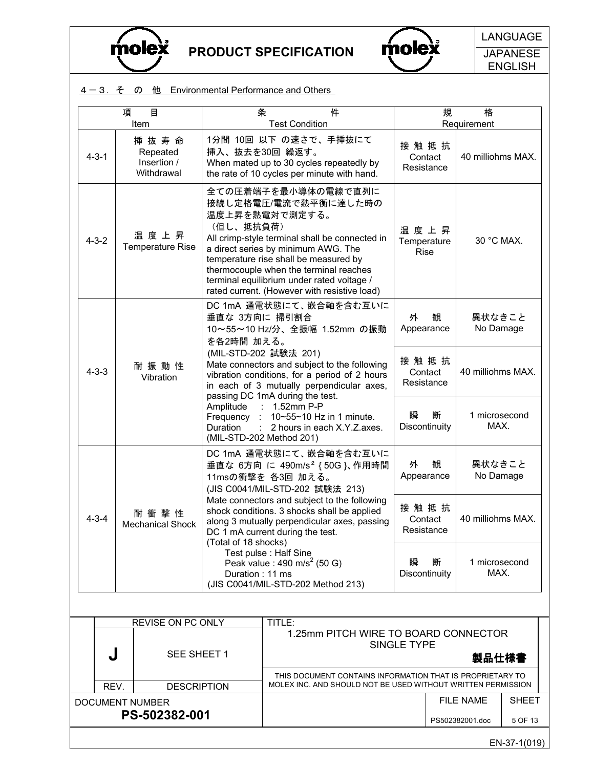



**JAPANESE** ENGLISH

### 4-3. そ の 他 Environmental Performance and Others

|             | 目<br>項<br>Item                                   | 条                                  | 件<br><b>Test Condition</b>                                                                                                                                                                                                                                                                                                              | 規                                  | 格<br>Requirement      |
|-------------|--------------------------------------------------|------------------------------------|-----------------------------------------------------------------------------------------------------------------------------------------------------------------------------------------------------------------------------------------------------------------------------------------------------------------------------------------|------------------------------------|-----------------------|
| $4 - 3 - 1$ | 挿 抜 寿 命<br>Repeated<br>Insertion /<br>Withdrawal | 挿入、抜去を30回 繰返す。                     | 1分間 10回 以下 の速さで、手挿抜にて<br>When mated up to 30 cycles repeatedly by<br>the rate of 10 cycles per minute with hand.                                                                                                                                                                                                                        | 接触抵抗<br>Contact<br>Resistance      | 40 milliohms MAX.     |
| $4 - 3 - 2$ | 温度上昇<br><b>Temperature Rise</b>                  | (但し、抵抗負荷)                          | 全ての圧着端子を最小導体の電線で直列に<br>接続し定格電圧/電流で熱平衡に達した時の<br>温度上昇を熱電対で測定する。<br>All crimp-style terminal shall be connected in<br>a direct series by minimum AWG. The<br>temperature rise shall be measured by<br>thermocouple when the terminal reaches<br>terminal equilibrium under rated voltage /<br>rated current. (However with resistive load) | 温度上昇<br>Temperature<br><b>Rise</b> | 30 °C MAX.            |
|             |                                                  | 垂直な 3方向に 掃引割合<br>を各2時間 加える。        | DC 1mA 通電状態にて、嵌合軸を含む互いに<br>10~55~10 Hz/分、全振幅 1.52mm の振動                                                                                                                                                                                                                                                                                 | 外<br>観<br>Appearance               | 異状なきこと<br>No Damage   |
| $4 - 3 - 3$ | 耐振動性<br>Vibration                                |                                    | (MIL-STD-202 試験法 201)<br>Mate connectors and subject to the following<br>vibration conditions, for a period of 2 hours<br>in each of 3 mutually perpendicular axes,<br>passing DC 1mA during the test.                                                                                                                                  | 接触抵抗<br>Contact<br>Resistance      | 40 milliohms MAX.     |
|             |                                                  | Amplitude<br>Frequency<br>Duration | 1.52mm P-P<br>10~55~10 Hz in 1 minute.<br>2 hours in each X.Y.Z.axes.<br>(MIL-STD-202 Method 201)                                                                                                                                                                                                                                       | 瞬<br>断<br>Discontinuity            | 1 microsecond<br>MAX. |
|             |                                                  |                                    | DC 1mA 通電状態にて、嵌合軸を含む互いに<br>垂直な 6方向 に 490m/s <sup>2</sup> { 50G }、作用時間<br>11msの衝撃を 各3回 加える。<br>(JIS C0041/MIL-STD-202 試験法 213)                                                                                                                                                                                                           | 外<br>観<br>Appearance               | 異状なきこと<br>No Damage   |
| $4 - 3 - 4$ | 耐 衝 撃 性<br><b>Mechanical Shock</b>               | (Total of 18 shocks)               | Mate connectors and subject to the following<br>shock conditions. 3 shocks shall be applied<br>along 3 mutually perpendicular axes, passing<br>DC 1 mA current during the test.                                                                                                                                                         | 接触抵抗<br>Contact<br>Resistance      | 40 milliohms MAX.     |
|             |                                                  | Duration: 11 ms                    | Test pulse : Half Sine<br>Peak value : 490 m/s <sup>2</sup> (50 G)<br>(JIS C0041/MIL-STD-202 Method 213)                                                                                                                                                                                                                                | 瞬<br>断<br>Discontinuity            | 1 microsecond<br>MAX. |
|             |                                                  |                                    |                                                                                                                                                                                                                                                                                                                                         |                                    |                       |
|             | REVISE ON PC ONLY                                |                                    | TITLE:                                                                                                                                                                                                                                                                                                                                  |                                    |                       |
|             |                                                  |                                    | 1.25mm PITCH WIRE TO BOARD CONNECTOR                                                                                                                                                                                                                                                                                                    | SINGLE TYPE                        |                       |

| w               | SEE SHEET 1        | SINGLE TYPE                                                                                                               | 製品仕様書                         |                         |
|-----------------|--------------------|---------------------------------------------------------------------------------------------------------------------------|-------------------------------|-------------------------|
| REV.            | <b>DESCRIPTION</b> | THIS DOCUMENT CONTAINS INFORMATION THAT IS PROPRIETARY TO<br>MOLEX INC. AND SHOULD NOT BE USED WITHOUT WRITTEN PERMISSION |                               |                         |
| DOCUMENT NUMBER | PS-502382-001      |                                                                                                                           | FII F NAMF<br>PS502382001.doc | <b>SHFFT</b><br>5 OF 13 |
|                 |                    |                                                                                                                           |                               |                         |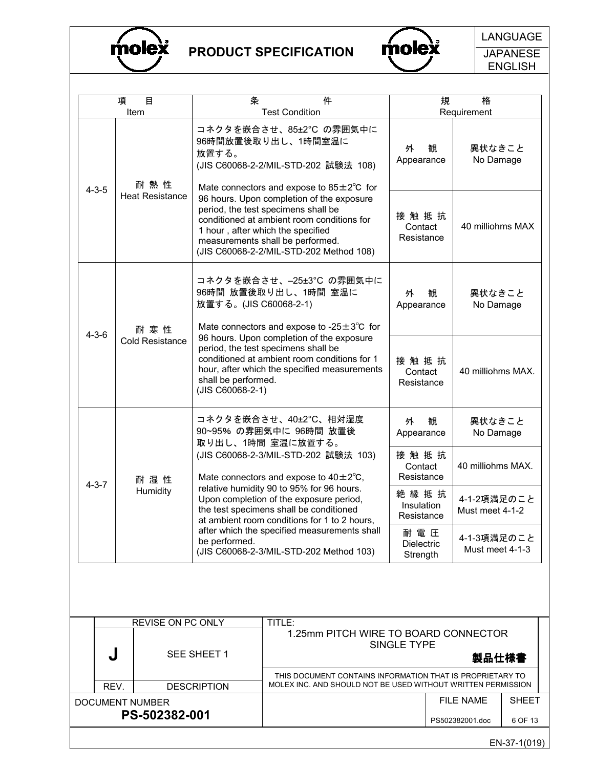



**JAPANESE** ENGLISH

| 項           | 目                      | 条                                                                                                                                                                                                                                                  |                       | 件                                                                                                                         |                                        | 規                   | 格                              |              |
|-------------|------------------------|----------------------------------------------------------------------------------------------------------------------------------------------------------------------------------------------------------------------------------------------------|-----------------------|---------------------------------------------------------------------------------------------------------------------------|----------------------------------------|---------------------|--------------------------------|--------------|
|             | Item                   |                                                                                                                                                                                                                                                    | <b>Test Condition</b> |                                                                                                                           |                                        |                     | Requirement                    |              |
|             | 耐 熱 性                  | コネクタを嵌合させ、85±2°C の雰囲気中に<br>96時間放置後取り出し、1時間室温に<br>放置する。<br>(JIS C60068-2-2/MIL-STD-202 試験法 108)<br>Mate connectors and expose to $85 \pm 2^{\circ}$ C for                                                                                           |                       |                                                                                                                           | 外<br>Appearance                        | 観                   | 異状なきこと<br>No Damage            |              |
| $4 - 3 - 5$ | <b>Heat Resistance</b> | 96 hours. Upon completion of the exposure<br>period, the test specimens shall be<br>conditioned at ambient room conditions for<br>1 hour, after which the specified<br>measurements shall be performed.<br>(JIS C60068-2-2/MIL-STD-202 Method 108) |                       |                                                                                                                           | 接触抵抗<br>Contact<br>Resistance          |                     | 40 milliohms MAX               |              |
|             | 耐 寒 性                  | コネクタを嵌合させ、-25±3°C の雰囲気中に<br>96時間 放置後取り出し、1時間 室温に<br>放置する。(JIS C60068-2-1)<br>Mate connectors and expose to -25 $\pm$ 3 $\degree$ C for                                                                                                             |                       |                                                                                                                           | 外<br>Appearance                        | 観                   | 異状なきこと<br>No Damage            |              |
| $4 - 3 - 6$ | <b>Cold Resistance</b> | 96 hours. Upon completion of the exposure<br>period, the test specimens shall be<br>conditioned at ambient room conditions for 1<br>hour, after which the specified measurements<br>shall be performed.<br>(JIS C60068-2-1)                        |                       |                                                                                                                           | 接触抵抗<br>Contact<br>Resistance          |                     | 40 milliohms MAX.              |              |
|             |                        | コネクタを嵌合させ、40±2℃、相対湿度<br>90~95% の雰囲気中に 96時間 放置後<br>取り出し、1時間 室温に放置する。                                                                                                                                                                                |                       | 外<br>Appearance                                                                                                           | 観                                      | 異状なきこと<br>No Damage |                                |              |
| $4 - 3 - 7$ | 耐湿性                    | (JIS C60068-2-3/MIL-STD-202 試験法 103)<br>Mate connectors and expose to $40\pm2^{\circ}$ C,                                                                                                                                                          |                       |                                                                                                                           | 接触抵抗<br>Contact<br>Resistance          |                     | 40 milliohms MAX.              |              |
|             | Humidity               | relative humidity 90 to 95% for 96 hours.<br>Upon completion of the exposure period,<br>the test specimens shall be conditioned<br>at ambient room conditions for 1 to 2 hours,                                                                    |                       |                                                                                                                           | 絶縁抵抗<br>Insulation<br>Resistance       |                     | 4-1-2項満足のこと<br>Must meet 4-1-2 |              |
|             |                        | after which the specified measurements shall<br>be performed.<br>(JIS C60068-2-3/MIL-STD-202 Method 103)                                                                                                                                           |                       |                                                                                                                           | 耐 電 圧<br><b>Dielectric</b><br>Strength |                     | 4-1-3項満足のこと<br>Must meet 4-1-3 |              |
|             |                        |                                                                                                                                                                                                                                                    |                       |                                                                                                                           |                                        |                     |                                |              |
|             | REVISE ON PC ONLY      |                                                                                                                                                                                                                                                    | TITLE:                | 1.25mm PITCH WIRE TO BOARD CONNECTOR                                                                                      |                                        |                     |                                |              |
| J           |                        | SEE SHEET 1                                                                                                                                                                                                                                        |                       |                                                                                                                           | SINGLE TYPE                            |                     | 製品仕様書                          |              |
| REV.        |                        | <b>DESCRIPTION</b>                                                                                                                                                                                                                                 |                       | THIS DOCUMENT CONTAINS INFORMATION THAT IS PROPRIETARY TO<br>MOLEX INC. AND SHOULD NOT BE USED WITHOUT WRITTEN PERMISSION |                                        |                     |                                |              |
|             | DOCUMENT NUMBER        |                                                                                                                                                                                                                                                    |                       |                                                                                                                           |                                        |                     | <b>FILE NAME</b>               | <b>SHEET</b> |
|             | PS-502382-001          |                                                                                                                                                                                                                                                    |                       |                                                                                                                           |                                        |                     | PS502382001.doc                | 6 OF 13      |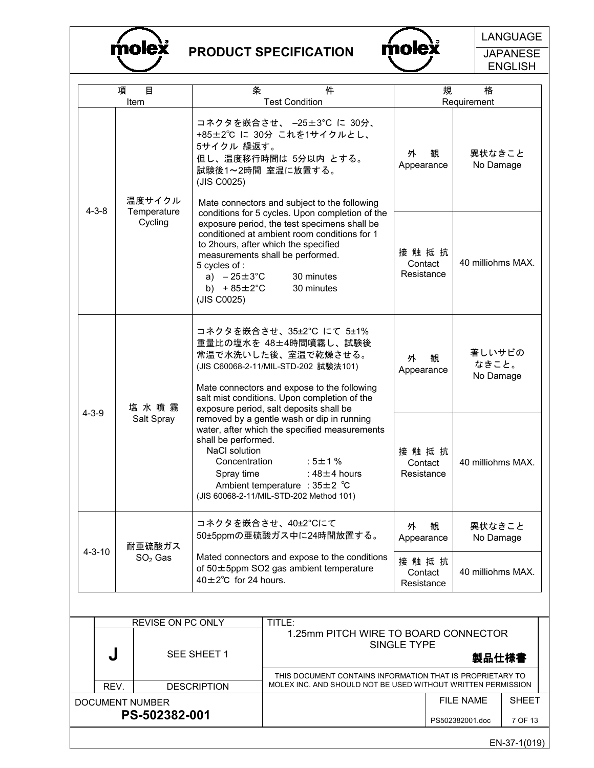



**JAPANESE** 

|              | 項                                     | 目<br>Item                        | 条                                                                                                                                                                                                                                                                                      | 件<br><b>Test Condition</b>                                                                                                                                                                                                                                |                               | 規                             | 格<br>Requirement             |              |
|--------------|---------------------------------------|----------------------------------|----------------------------------------------------------------------------------------------------------------------------------------------------------------------------------------------------------------------------------------------------------------------------------------|-----------------------------------------------------------------------------------------------------------------------------------------------------------------------------------------------------------------------------------------------------------|-------------------------------|-------------------------------|------------------------------|--------------|
|              | $4 - 3 - 8$                           | 温度サイクル<br>Temperature<br>Cycling | 5サイクル 繰返す。<br>(JIS C0025)                                                                                                                                                                                                                                                              | コネクタを嵌合させ、 -25±3℃ に 30分、<br>+85±2℃に30分 これを1サイクルとし、<br>但し、温度移行時間は 5分以内 とする。<br>試験後1~2時間 室温に放置する。<br>Mate connectors and subject to the following<br>conditions for 5 cycles. Upon completion of the                                                        | 外<br>Appearance               | 観                             | 異状なきこと<br>No Damage          |              |
|              |                                       |                                  | 5 cycles of :<br>a) $-25 \pm 3^{\circ}$ C<br>b) $+85 \pm 2^{\circ}$ C<br>(JIS C0025)                                                                                                                                                                                                   | exposure period, the test specimens shall be<br>conditioned at ambient room conditions for 1<br>to 2hours, after which the specified<br>measurements shall be performed.<br>30 minutes<br>30 minutes                                                      | 接触抵抗<br>Contact<br>Resistance |                               | 40 milliohms MAX.            |              |
|              | 塩水噴霧<br>$4 - 3 - 9$<br>Salt Spray     |                                  |                                                                                                                                                                                                                                                                                        | コネクタを嵌合させ、35±2℃ にて 5±1%<br>重量比の塩水を 48±4時間噴霧し、試験後<br>常温で水洗いした後、室温で乾燥させる。<br>(JIS C60068-2-11/MIL-STD-202 試験法101)<br>Mate connectors and expose to the following<br>salt mist conditions. Upon completion of the<br>exposure period, salt deposits shall be | 外<br>Appearance               | 観                             | 著しいサビの<br>なきこと。<br>No Damage |              |
|              |                                       |                                  | removed by a gentle wash or dip in running<br>water, after which the specified measurements<br>shall be performed.<br>NaCl solution<br>$:5\pm1\%$<br>Concentration<br>Spray time<br>: $48\pm4$ hours<br>Ambient temperature : $35 \pm 2$ °C<br>(JIS 60068-2-11/MIL-STD-202 Method 101) |                                                                                                                                                                                                                                                           |                               | 接触抵抗<br>Contact<br>Resistance | 40 milliohms MAX.            |              |
| $4 - 3 - 10$ | 耐亜硫酸ガス                                |                                  |                                                                                                                                                                                                                                                                                        | コネクタを嵌合させ、40±2°Cにて<br>50±5ppmの亜硫酸ガス中に24時間放置する。                                                                                                                                                                                                            | 観<br>外<br>Appearance          |                               | 異状なきこと<br>No Damage          |              |
|              |                                       | $SO2$ Gas                        | $40\pm2^{\circ}$ C for 24 hours.                                                                                                                                                                                                                                                       | Mated connectors and expose to the conditions<br>of $50\pm5$ ppm SO2 gas ambient temperature                                                                                                                                                              | 接触抵抗<br>Contact<br>Resistance |                               | 40 milliohms MAX.            |              |
|              |                                       |                                  |                                                                                                                                                                                                                                                                                        |                                                                                                                                                                                                                                                           |                               |                               |                              |              |
|              | REVISE ON PC ONLY<br>J<br>SEE SHEET 1 |                                  |                                                                                                                                                                                                                                                                                        | TITLE:<br>1.25mm PITCH WIRE TO BOARD CONNECTOR                                                                                                                                                                                                            | SINGLE TYPE                   |                               | 製品仕様書                        |              |
|              | REV.                                  |                                  | <b>DESCRIPTION</b>                                                                                                                                                                                                                                                                     | THIS DOCUMENT CONTAINS INFORMATION THAT IS PROPRIETARY TO<br>MOLEX INC. AND SHOULD NOT BE USED WITHOUT WRITTEN PERMISSION                                                                                                                                 |                               |                               |                              |              |
|              |                                       | <b>DOCUMENT NUMBER</b>           |                                                                                                                                                                                                                                                                                        |                                                                                                                                                                                                                                                           |                               |                               | <b>FILE NAME</b>             | <b>SHEET</b> |
|              |                                       | PS-502382-001                    |                                                                                                                                                                                                                                                                                        |                                                                                                                                                                                                                                                           |                               |                               | DRENOROONNA doo              |              |

EN-37-1(019)

7 OF 13

PS502382001.doc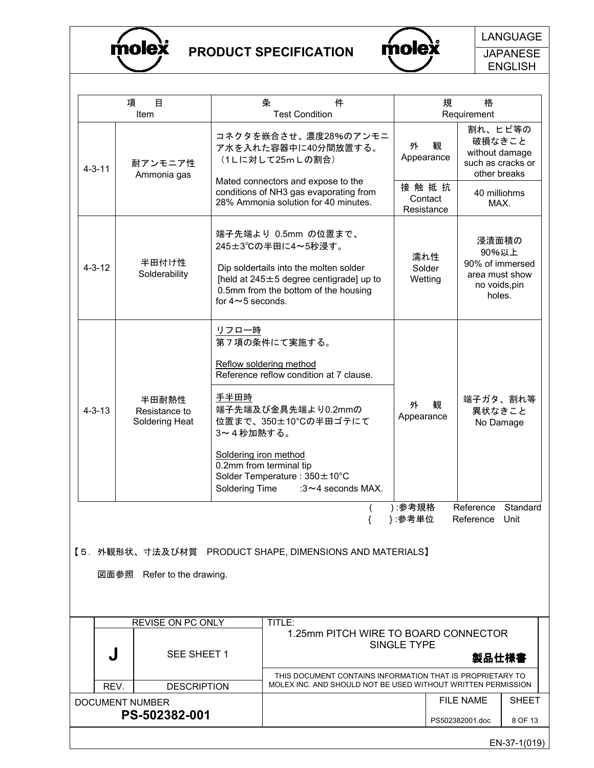



**JAPANESE** ENGLISH

|              | 項<br>目<br>Item                                                                        |                                                                                                                                                                                | 条<br><b>Test Condition</b> | 件                                                                                                                                                                   |                                                  | 規 | 格<br>Requirement                                                                                 |              |
|--------------|---------------------------------------------------------------------------------------|--------------------------------------------------------------------------------------------------------------------------------------------------------------------------------|----------------------------|---------------------------------------------------------------------------------------------------------------------------------------------------------------------|--------------------------------------------------|---|--------------------------------------------------------------------------------------------------|--------------|
| $4 - 3 - 11$ | 耐アンモニア性<br>Ammonia gas                                                                | (1Lに対して25mLの割合)                                                                                                                                                                |                            | コネクタを嵌合させ、濃度28%のアンモニ<br>ア水を入れた容器中に40分間放置する。<br>Mated connectors and expose to the<br>conditions of NH3 gas evaporating from<br>28% Ammonia solution for 40 minutes. | 外<br>Appearance<br>接触抵抗<br>Contact<br>Resistance | 観 | 割れ、ヒビ等の<br>破損なきこと<br>without damage<br>such as cracks or<br>other breaks<br>40 milliohms<br>MAX. |              |
| $4 - 3 - 12$ | 半田付け性<br>Solderability                                                                | 245±3℃の半田に4~5秒浸す。<br>for $4 \sim 5$ seconds.                                                                                                                                   |                            | 端子先端より 0.5mm の位置まで、<br>Dip soldertails into the molten solder<br>[held at $245 \pm 5$ degree centigrade] up to<br>0.5mm from the bottom of the housing              | 濡れ性<br>Solder<br>Wetting                         |   | 浸漬面積の<br>90%以上<br>90% of immersed<br>area must show<br>no voids, pin<br>holes.                   |              |
| $4 - 3 - 13$ | 半田耐熱性<br>Resistance to<br>Soldering Heat                                              | リフロー時<br>第7項の条件にて実施する。<br>Reflow soldering method<br>手半田時<br>3~4秒加熱する。<br>Soldering iron method<br>0.2mm from terminal tip<br>Solder Temperature: 350 ± 10°C<br>Soldering Time |                            | Reference reflow condition at 7 clause.<br>端子先端及び金具先端より0.2mmの<br>位置まで、350±10°Cの半田ゴテにて<br>: $3 \sim 4$ seconds MAX.                                                  | 外<br>Appearance                                  | 観 | 端子ガタ、割れ等<br>異状なきこと<br>No Damage                                                                  |              |
|              | 【5.外観形状、寸法及び材質 PRODUCT SHAPE, DIMENSIONS AND MATERIALS】<br>図面参照 Refer to the drawing. |                                                                                                                                                                                |                            |                                                                                                                                                                     | ):参考規格<br>}:参考単位                                 |   | Reference Standard<br>Reference Unit                                                             |              |
|              | REVISE ON PC ONLY                                                                     |                                                                                                                                                                                | TITLE:                     | 1.25mm PITCH WIRE TO BOARD CONNECTOR                                                                                                                                |                                                  |   |                                                                                                  |              |
| J            | SEE SHEET 1                                                                           |                                                                                                                                                                                |                            |                                                                                                                                                                     | SINGLE TYPE                                      |   | 製品仕様書                                                                                            |              |
| REV.         | <b>DESCRIPTION</b>                                                                    |                                                                                                                                                                                |                            | THIS DOCUMENT CONTAINS INFORMATION THAT IS PROPRIETARY TO<br>MOLEX INC. AND SHOULD NOT BE USED WITHOUT WRITTEN PERMISSION                                           |                                                  |   |                                                                                                  |              |
|              | <b>DOCUMENT NUMBER</b>                                                                |                                                                                                                                                                                |                            |                                                                                                                                                                     |                                                  |   | <b>FILE NAME</b>                                                                                 | <b>SHEET</b> |
|              | PS-502382-001                                                                         |                                                                                                                                                                                |                            |                                                                                                                                                                     |                                                  |   | PS502382001.doc                                                                                  | 8 OF 13      |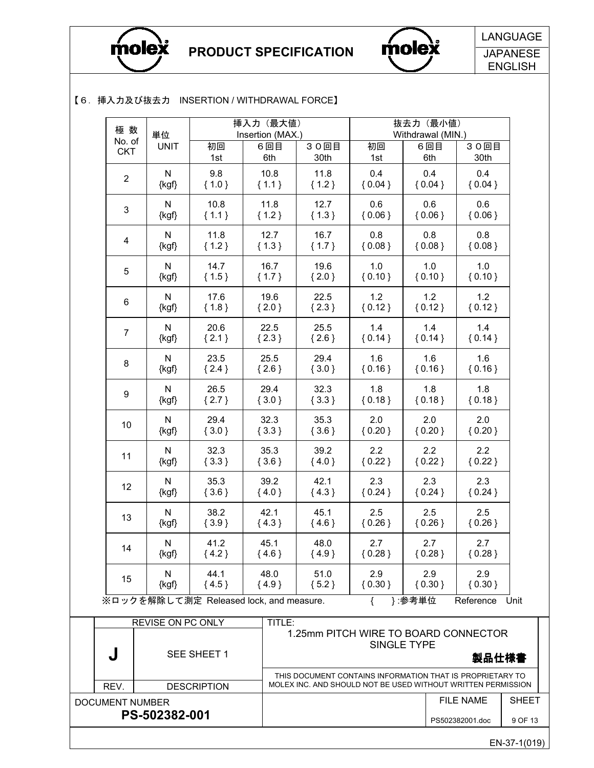

DOCUMENT NUMBER

PS-502382-001

PRODUCT SPECIFICATION



Olex LANGUAGE **JAPANESE** ENGLISH

#### 【6.挿入力及び抜去力 INSERTION / WITHDRAWAL FORCE】

| 極数             | 単位                                      |             | 挿入力 (最大値)<br>Insertion (MAX.) |         |          | 抜去力 (最小値)<br>Withdrawal (MIN.) |                                                         |
|----------------|-----------------------------------------|-------------|-------------------------------|---------|----------|--------------------------------|---------------------------------------------------------|
| No. of         | <b>UNIT</b>                             | 初回          | 6回目                           | 30回目    | 初回       | 6回目                            | 30回目                                                    |
| <b>CKT</b>     |                                         | 1st         | 6th                           | 30th    | 1st      | 6th                            | 30th                                                    |
| $\overline{2}$ | N                                       | 9.8         | 10.8                          | 11.8    | 0.4      | 0.4                            | 0.4                                                     |
|                | $\{kgf\}$                               | ${1.0}$     | ${1.1}$                       | ${1.2}$ | ${0.04}$ | ${0.04}$                       | ${0.04}$                                                |
| 3              | N                                       | 10.8        | 11.8                          | 12.7    | 0.6      | 0.6                            | 0.6                                                     |
|                | $\{kgf\}$                               | ${1.1}$     | ${1.2}$                       | ${1.3}$ | ${0.06}$ | ${0.06}$                       | ${0.06}$                                                |
| 4              | N                                       | 11.8        | 12.7                          | 16.7    | 0.8      | 0.8                            | 0.8                                                     |
|                | {kgf}                                   | ${1.2}$     | ${1.3}$                       | ${1.7}$ | ${0.08}$ | ${0.08}$                       | ${0.08}$                                                |
| 5              | N                                       | 14.7        | 16.7                          | 19.6    | 1.0      | 1.0                            | 1.0                                                     |
|                | $\{kgf\}$                               | ${1.5}$     | ${1.7}$                       | ${2.0}$ | ${0.10}$ | ${0.10}$                       | ${0.10}$                                                |
| 6              | N                                       | 17.6        | 19.6                          | 22.5    | 1.2      | 1.2                            | 1.2                                                     |
|                | {kgf}                                   | ${1.8}$     | ${2.0}$                       | ${2.3}$ | ${0.12}$ | ${0.12}$                       | ${0.12}$                                                |
| $\overline{7}$ | N                                       | 20.6        | 22.5                          | 25.5    | 1.4      | 1.4                            | 1.4                                                     |
|                | $\{kgf\}$                               | ${2.1}$     | ${2.3}$                       | ${2.6}$ | ${0.14}$ | ${0.14}$                       | ${0.14}$                                                |
| 8              | N                                       | 23.5        | 25.5                          | 29.4    | 1.6      | 1.6                            | 1.6                                                     |
|                | $\{kgf\}$                               | ${2.4}$     | ${2.6}$                       | ${3.0}$ | ${0.16}$ | ${0.16}$                       | ${0.16}$                                                |
| 9              | N                                       | 26.5        | 29.4                          | 32.3    | 1.8      | 1.8                            | 1.8                                                     |
|                | $\{kgf\}$                               | ${2.7}$     | ${3.0}$                       | ${3.3}$ | ${0.18}$ | ${0.18}$                       | ${0.18}$                                                |
| 10             | N                                       | 29.4        | 32.3                          | 35.3    | 2.0      | 2.0                            | 2.0                                                     |
|                | $\{kgf\}$                               | ${3.0}$     | ${3.3}$                       | ${3.6}$ | ${0.20}$ | ${0.20}$                       | ${0.20}$                                                |
| 11             | N                                       | 32.3        | 35.3                          | 39.2    | 2.2      | 2.2                            | 2.2                                                     |
|                | $\{kgf\}$                               | ${3.3}$     | ${3.6}$                       | ${4.0}$ | ${0.22}$ | ${0.22}$                       | ${0.22}$                                                |
| 12             | N                                       | 35.3        | 39.2                          | 42.1    | 2.3      | 2.3                            | 2.3                                                     |
|                | $\{kgf\}$                               | ${3.6}$     | ${4.0}$                       | ${4.3}$ | ${0.24}$ | ${0.24}$                       | ${0.24}$                                                |
| 13             | N                                       | 38.2        | 42.1                          | 45.1    | 2.5      | 2.5                            | 2.5                                                     |
|                | {kgf}                                   | ${3.9}$     | ${4.3}$                       | ${4.6}$ | ${0.26}$ | ${0.26}$                       | ${0.26}$                                                |
| 14             | N                                       | 41.2        | 45.1                          | 48.0    | 2.7      | 2.7                            | 2.7                                                     |
|                | {kgf}                                   | ${4.2}$     | ${4.6}$                       | ${4.9}$ | ${0.28}$ | ${0.28}$                       | ${0.28}$                                                |
| 15             | N                                       | 44.1        | 48.0                          | 51.0    | 2.9      | 2.9                            | 2.9                                                     |
|                | $\{kgf\}$                               | ${4.5}$     | ${4.9}$                       | ${5.2}$ | ${0.30}$ | ${0.30}$                       | ${0.30}$                                                |
|                | ※ロックを解除して測定 Released lock, and measure. |             |                               |         | $\{$     | }:参考単位                         | Reference<br>Unit                                       |
| J              | <b>REVISE ON PC ONLY</b>                | SEE SHEET 1 | TITLE:                        |         |          | <b>SINGLE TYPE</b>             | 1.25mm PITCH WIRE TO BOARD CONNECTOR<br>製品仕様書           |
|                |                                         |             |                               |         |          |                                | THIS DOCUMENT CONTAINS INFORMATION THAT IS DRODDIETADY. |

THIS DOCUMENT CONTAINS INFORMATION THAT IS PROPRIETARY TO REV. DESCRIPTION MOLEX INC. AND SHOULD NOT BE USED WITHOUT WRITTEN PERMISSION

FILE NAME PS502382001.doc SHEET 9 OF 13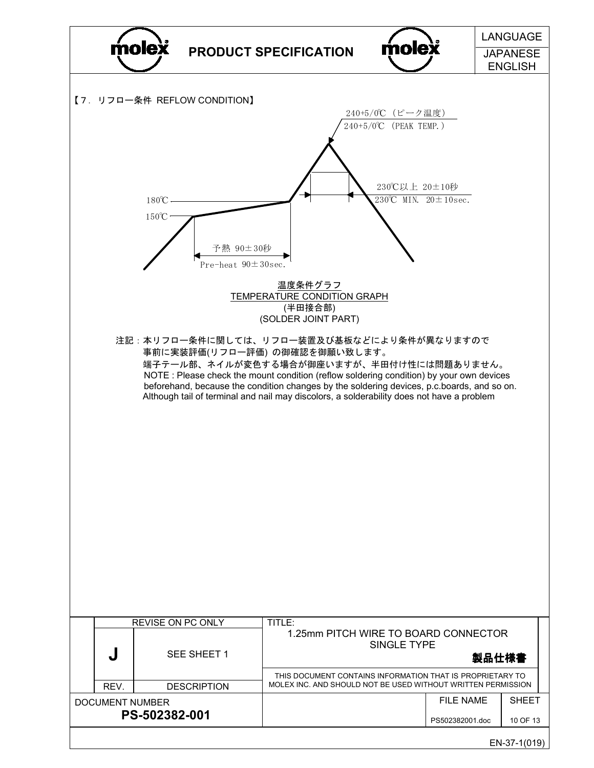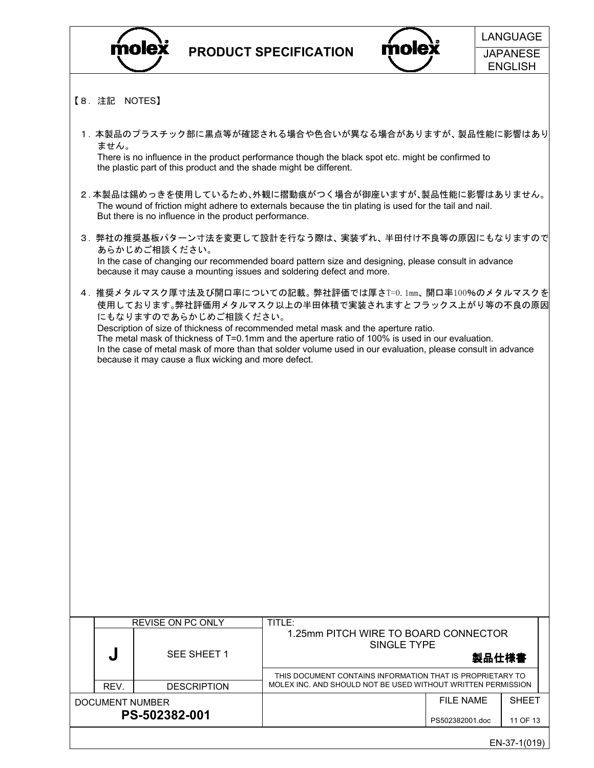



- 【8.注記 NOTES】
	- 1.本製品のプラスチック部に黒点等が確認される場合や色合いが異なる場合がありますが、製品性能に影響はあり ません。

 There is no influence in the product performance though the black spot etc. might be confirmed to the plastic part of this product and the shade might be different.

- 2.本製品は錫めっきを使用しているため、外観に摺動痕がつく場合が御座いますが、製品性能に影響はありません。 The wound of friction might adhere to externals because the tin plating is used for the tail and nail. But there is no influence in the product performance.
- 3.弊社の推奨基板パターン寸法を変更して設計を行なう際は、実装ずれ、半田付け不良等の原因にもなりますので あらかじめご相談ください。 In the case of changing our recommended board pattern size and designing, please consult in advance because it may cause a mounting issues and soldering defect and more.
- 4.推奨メタルマスク厚寸法及び開口率についての記載。弊社評価では厚さT=0.1mm、開口率100%のメタルマスクを 使用しております。弊社評価用メタルマスク以上の半田体積で実装されますとフラックス上がり等の不良の原因 にもなりますのであらかじめご相談ください。 Description of size of thickness of recommended metal mask and the aperture ratio. The metal mask of thickness of T=0.1mm and the aperture ratio of 100% is used in our evaluation. In the case of metal mask of more than that solder volume used in our evaluation, please consult in advance because it may cause a flux wicking and more defect.

|                                  | <b>REVISE ON PC ONLY</b> |                                   | TITLE:                                                                                                                    |                               |                          |  |  |  |
|----------------------------------|--------------------------|-----------------------------------|---------------------------------------------------------------------------------------------------------------------------|-------------------------------|--------------------------|--|--|--|
|                                  | لہ                       | SEE SHEET 1<br><b>DESCRIPTION</b> | 1.25mm PITCH WIRE TO BOARD CONNECTOR<br>SINGLE TYPE<br>製品仕様書                                                              |                               |                          |  |  |  |
|                                  | REV.                     |                                   | THIS DOCUMENT CONTAINS INFORMATION THAT IS PROPRIETARY TO<br>MOLEX INC. AND SHOULD NOT BE USED WITHOUT WRITTEN PERMISSION |                               |                          |  |  |  |
| DOCUMENT NUMBER<br>PS-502382-001 |                          |                                   |                                                                                                                           | FII F NAMF<br>PS502382001.doc | <b>SHEET</b><br>11 OF 13 |  |  |  |
| EN-37-1(019)                     |                          |                                   |                                                                                                                           |                               |                          |  |  |  |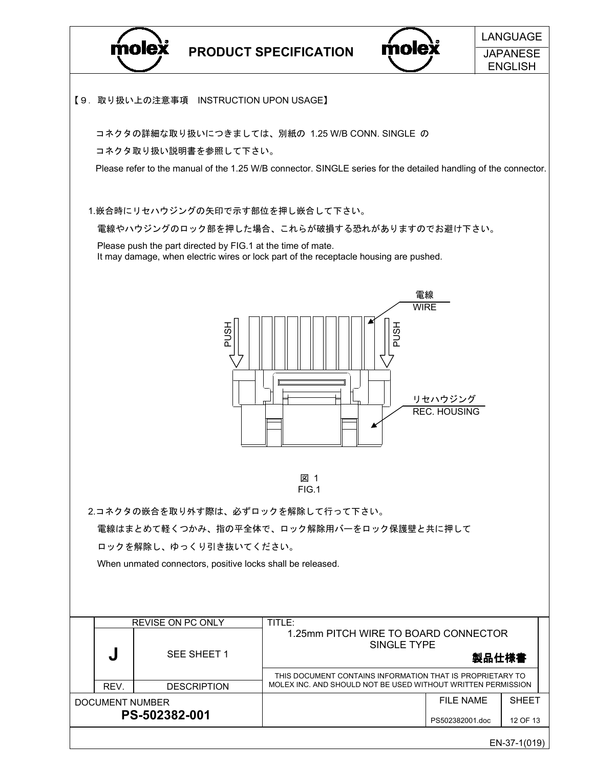